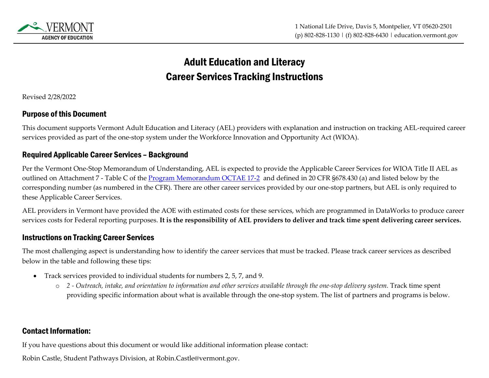

# Adult Education and Literacy Career Services Tracking Instructions

Revised 2/28/2022

#### Purpose of this Document

This document supports Vermont Adult Education and Literacy (AEL) providers with explanation and instruction on tracking AEL-required career services provided as part of the one-stop system under the Workforce Innovation and Opportunity Act (WIOA).

### Required Applicable Career Services – Background

Per the Vermont One-Stop Memorandum of Understanding, AEL is expected to provide the Applicable Career Services for WIOA Title II AEL as outlined on Attachment 7 - Table C of the **Program Memorandum OCTAE 17-2** and defined in 20 CFR §678.430 (a) and listed below by the corresponding number (as numbered in the CFR). There are other career services provided by our one-stop partners, but AEL is only required to these Applicable Career Services.

AEL providers in Vermont have provided the AOE with estimated costs for these services, which are programmed in DataWorks to produce career services costs for Federal reporting purposes. **It is the responsibility of AEL providers to deliver and track time spent delivering career services.** 

### Instructions on Tracking Career Services

The most challenging aspect is understanding how to identify the career services that must be tracked. Please track career services as described below in the table and following these tips:

- Track services provided to individual students for numbers 2, 5, 7, and 9.
	- o *2 Outreach, intake, and orientation to information and other services available through the one-stop delivery system.* Track time spent providing specific information about what is available through the one-stop system. The list of partners and programs is below.

### Contact Information:

If you have questions about this document or would like additional information please contact:

Robin Castle, Student Pathways Division, at Robin.Castle@vermont.gov.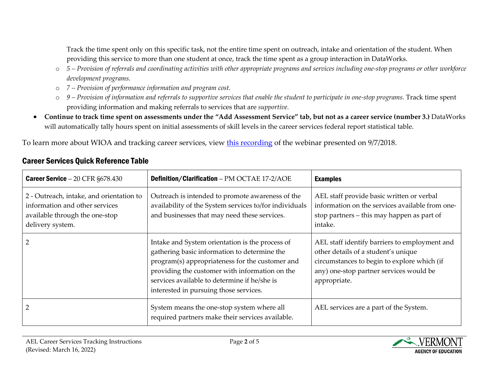Track the time spent only on this specific task, not the entire time spent on outreach, intake and orientation of the student. When providing this service to more than one student at once, track the time spent as a group interaction in DataWorks.

- o *5 – Provision of referrals and coordinating activities with other appropriate programs and services including one-stop programs or other workforce development programs.*
- o *7 Provision of performance information and program cost.*
- o *9 Provision of information and referrals to supportive services that enable the student to participate in one-stop programs.* Track time spent providing information and making referrals to services that are *supportive.*
- **Continue to track time spent on assessments under the "Add Assessment Service" tab, but not as a career service (number 3.)** DataWorks will automatically tally hours spent on initial assessments of skill levels in the career services federal report statistical table.

To learn more about WIOA and tracking career services, view [this recording](https://www.youtube.com/watch?v=BssHq9KrDjs) of the webinar presented on 9/7/2018.

| Career Service $-20$ CFR $\S678.430$                                                                                             | Definition/Clarification - PM OCTAE 17-2/AOE                                                                                                                                                                                                                                                   | <b>Examples</b>                                                                                                                                                                                |
|----------------------------------------------------------------------------------------------------------------------------------|------------------------------------------------------------------------------------------------------------------------------------------------------------------------------------------------------------------------------------------------------------------------------------------------|------------------------------------------------------------------------------------------------------------------------------------------------------------------------------------------------|
| 2 - Outreach, intake, and orientation to<br>information and other services<br>available through the one-stop<br>delivery system. | Outreach is intended to promote awareness of the<br>availability of the System services to/for individuals<br>and businesses that may need these services.                                                                                                                                     | AEL staff provide basic written or verbal<br>information on the services available from one-<br>stop partners – this may happen as part of<br>intake.                                          |
| $\overline{2}$                                                                                                                   | Intake and System orientation is the process of<br>gathering basic information to determine the<br>program(s) appropriateness for the customer and<br>providing the customer with information on the<br>services available to determine if he/she is<br>interested in pursuing those services. | AEL staff identify barriers to employment and<br>other details of a student's unique<br>circumstances to begin to explore which (if<br>any) one-stop partner services would be<br>appropriate. |
| $\overline{2}$                                                                                                                   | System means the one-stop system where all<br>required partners make their services available.                                                                                                                                                                                                 | AEL services are a part of the System.                                                                                                                                                         |

## Career Services Quick Reference Table

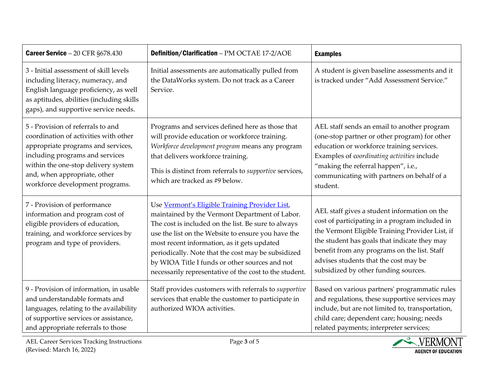| Career Service $-20$ CFR $§678.430$                                                                                                                                                                                                                           | Definition/Clarification - PM OCTAE 17-2/AOE                                                                                                                                                                                                                                                                                                                                                                                   | <b>Examples</b>                                                                                                                                                                                                                                                                                                                    |
|---------------------------------------------------------------------------------------------------------------------------------------------------------------------------------------------------------------------------------------------------------------|--------------------------------------------------------------------------------------------------------------------------------------------------------------------------------------------------------------------------------------------------------------------------------------------------------------------------------------------------------------------------------------------------------------------------------|------------------------------------------------------------------------------------------------------------------------------------------------------------------------------------------------------------------------------------------------------------------------------------------------------------------------------------|
| 3 - Initial assessment of skill levels<br>including literacy, numeracy, and<br>English language proficiency, as well<br>as aptitudes, abilities (including skills<br>gaps), and supportive service needs.                                                     | Initial assessments are automatically pulled from<br>the DataWorks system. Do not track as a Career<br>Service.                                                                                                                                                                                                                                                                                                                | A student is given baseline assessments and it<br>is tracked under "Add Assessment Service."                                                                                                                                                                                                                                       |
| 5 - Provision of referrals to and<br>coordination of activities with other<br>appropriate programs and services,<br>including programs and services<br>within the one-stop delivery system<br>and, when appropriate, other<br>workforce development programs. | Programs and services defined here as those that<br>will provide education or workforce training.<br>Workforce development program means any program<br>that delivers workforce training.<br>This is distinct from referrals to supportive services,<br>which are tracked as #9 below.                                                                                                                                         | AEL staff sends an email to another program<br>(one-stop partner or other program) for other<br>education or workforce training services.<br>Examples of coordinating activities include<br>"making the referral happen", i.e.,<br>communicating with partners on behalf of a<br>student.                                          |
| 7 - Provision of performance<br>information and program cost of<br>eligible providers of education,<br>training, and workforce services by<br>program and type of providers.                                                                                  | Use Vermont's Eligible Training Provider List,<br>maintained by the Vermont Department of Labor.<br>The cost is included on the list. Be sure to always<br>use the list on the Website to ensure you have the<br>most recent information, as it gets updated<br>periodically. Note that the cost may be subsidized<br>by WIOA Title I funds or other sources and not<br>necessarily representative of the cost to the student. | AEL staff gives a student information on the<br>cost of participating in a program included in<br>the Vermont Eligible Training Provider List, if<br>the student has goals that indicate they may<br>benefit from any programs on the list. Staff<br>advises students that the cost may be<br>subsidized by other funding sources. |
| 9 - Provision of information, in usable<br>and understandable formats and<br>languages, relating to the availability<br>of supportive services or assistance,<br>and appropriate referrals to those                                                           | Staff provides customers with referrals to supportive<br>services that enable the customer to participate in<br>authorized WIOA activities.                                                                                                                                                                                                                                                                                    | Based on various partners' programmatic rules<br>and regulations, these supportive services may<br>include, but are not limited to, transportation,<br>child care; dependent care; housing; needs<br>related payments; interpreter services;                                                                                       |

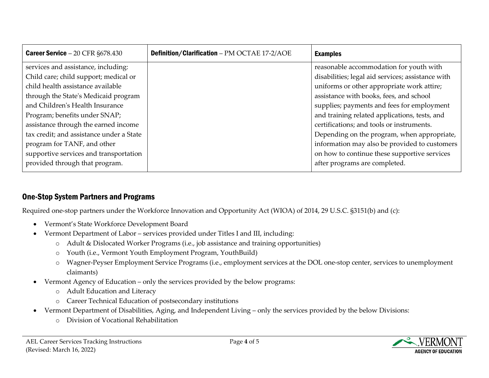| Career Service $-20$ CFR $\S678.430$     | Definition/Clarification - PM OCTAE 17-2/AOE | <b>Examples</b>                                   |
|------------------------------------------|----------------------------------------------|---------------------------------------------------|
| services and assistance, including:      |                                              | reasonable accommodation for youth with           |
| Child care; child support; medical or    |                                              | disabilities; legal aid services; assistance with |
| child health assistance available        |                                              | uniforms or other appropriate work attire;        |
| through the State's Medicaid program     |                                              | assistance with books, fees, and school           |
| and Children's Health Insurance          |                                              | supplies; payments and fees for employment        |
| Program; benefits under SNAP;            |                                              | and training related applications, tests, and     |
| assistance through the earned income     |                                              | certifications; and tools or instruments.         |
| tax credit; and assistance under a State |                                              | Depending on the program, when appropriate,       |
| program for TANF, and other              |                                              | information may also be provided to customers     |
| supportive services and transportation   |                                              | on how to continue these supportive services      |
| provided through that program.           |                                              | after programs are completed.                     |

## One-Stop System Partners and Programs

Required one-stop partners under the Workforce Innovation and Opportunity Act (WIOA) of 2014, 29 U.S.C. §3151(b) and (c):

- Vermont's State Workforce Development Board
- Vermont Department of Labor services provided under Titles I and III, including:
	- o Adult & Dislocated Worker Programs (i.e., job assistance and training opportunities)
	- o Youth (i.e., Vermont Youth Employment Program, YouthBuild)
	- o Wagner-Peyser Employment Service Programs (i.e., employment services at the DOL one-stop center, services to unemployment claimants)
- Vermont Agency of Education only the services provided by the below programs:
	- o Adult Education and Literacy
	- o Career Technical Education of postsecondary institutions
- Vermont Department of Disabilities, Aging, and Independent Living only the services provided by the below Divisions:
	- o Division of Vocational Rehabilitation